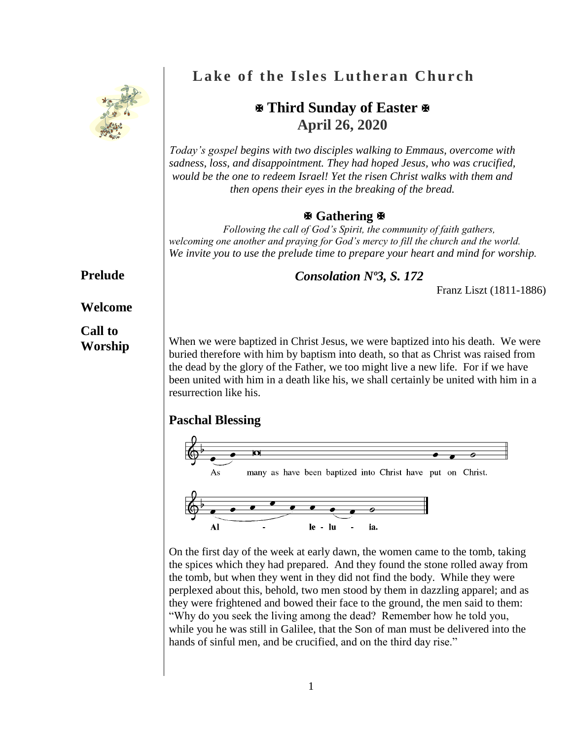

# **Lake of the Isles Lutheran Church**

## **Third Sunday of Easter April 26, 2020**

*Today's gospel begins with two disciples walking to Emmaus, overcome with sadness, loss, and disappointment. They had hoped Jesus, who was crucified, would be the one to redeem Israel! Yet the risen Christ walks with them and then opens their eyes in the breaking of the bread.* 

#### **Gathering**

*Following the call of God's Spirit, the community of faith gathers, welcoming one another and praying for God's mercy to fill the church and the world. We invite you to use the prelude time to prepare your heart and mind for worship.*

*Consolation Nº3, S. 172*

Franz Liszt (1811-1886)

When we were baptized in Christ Jesus, we were baptized into his death. We were buried therefore with him by baptism into death, so that as Christ was raised from the dead by the glory of the Father, we too might live a new life. For if we have been united with him in a death like his, we shall certainly be united with him in a resurrection like his.

#### **Paschal Blessing**



On the first day of the week at early dawn, the women came to the tomb, taking the spices which they had prepared. And they found the stone rolled away from the tomb, but when they went in they did not find the body. While they were perplexed about this, behold, two men stood by them in dazzling apparel; and as they were frightened and bowed their face to the ground, the men said to them: "Why do you seek the living among the dead? Remember how he told you, while you he was still in Galilee, that the Son of man must be delivered into the hands of sinful men, and be crucified, and on the third day rise."

### **Prelude**

#### **Welcome**

**Call to Worship**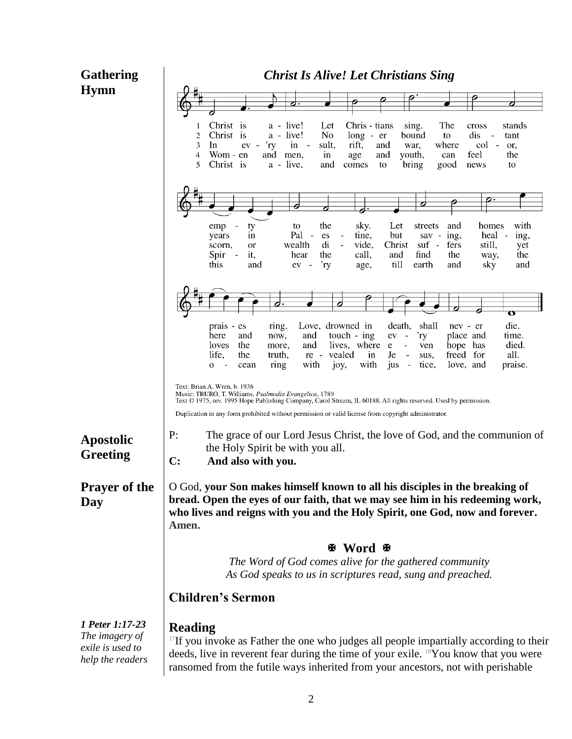| <b>Gathering</b>                                                          | <b>Christ Is Alive! Let Christians Sing</b>                                                                                                                                                                                                                                                                                                                                                                                                                                                                        |  |  |
|---------------------------------------------------------------------------|--------------------------------------------------------------------------------------------------------------------------------------------------------------------------------------------------------------------------------------------------------------------------------------------------------------------------------------------------------------------------------------------------------------------------------------------------------------------------------------------------------------------|--|--|
| <b>Hymn</b>                                                               |                                                                                                                                                                                                                                                                                                                                                                                                                                                                                                                    |  |  |
|                                                                           | Chris - tians                                                                                                                                                                                                                                                                                                                                                                                                                                                                                                      |  |  |
|                                                                           | Christ is<br>a - live!<br>The<br>Let<br>sing.<br>stands<br>cross<br>1<br>a - live!<br>No<br>dis<br>$\overline{2}$<br>Christ is<br>$long - er$<br>bound<br>to<br>tant<br>$\overline{\phantom{a}}$<br>3<br>rift,<br>In<br>'ry<br>$in -$<br>sult,<br>and<br>where<br>col<br>$\sim$<br>$ev -$<br>war.<br>or,<br>and<br>feel<br>the<br>4<br>Wom - en<br>men,<br>and<br>youth,<br>$\mathbf{m}$<br>age<br>can<br>5<br>Christ is<br>$a - live$ ,<br>and<br>comes<br>bring<br>good<br>to<br>news<br>to                      |  |  |
|                                                                           | 7                                                                                                                                                                                                                                                                                                                                                                                                                                                                                                                  |  |  |
|                                                                           | with<br>the<br>sky.<br>Let<br>streets<br>and<br>homes<br>ty<br>to<br>emp<br>Pal -<br>tine,<br>but<br>sav -<br>ing,<br>heal -<br>in<br>es<br>ing,<br>years<br>$\qquad \qquad \blacksquare$<br>di<br>vide,<br>suf<br>still,<br>wealth<br>Christ<br>$\blacksquare$<br>fers<br>scorn,<br>$\frac{1}{2}$<br>yet<br><b>or</b><br>call,<br>Spir<br>it,<br>the<br>and<br>find<br>the<br>the<br>hear<br>way,<br>$\overline{\phantom{a}}$<br>till<br>this<br>'ry<br>earth<br>sky<br>and<br>and<br>and<br>age,<br>ev<br>$\sim$ |  |  |
|                                                                           | $\overline{\mathbf{o}}$                                                                                                                                                                                                                                                                                                                                                                                                                                                                                            |  |  |
|                                                                           | die.<br>prais - es<br>Love, drowned in<br>shall<br>death.<br>ring.<br>nev - er<br>and<br>touch - ing<br>and<br>'ry<br>place and<br>time.<br>here<br>now,<br>ev<br>$\sim$<br>lives, where<br>died.<br>loves<br>the<br>and<br>ven<br>hope has<br>more,<br>e<br>$\blacksquare$<br>vealed<br>freed for<br>all.<br>life,<br>the<br>truth,<br>in<br>Je<br>sus,<br>re -<br>with<br>with<br>ring<br>joy,<br>jus<br>tice.<br>love, and<br>praise.<br>0<br>cean                                                              |  |  |
|                                                                           | Text: Brian A. Wren, b. 1936<br>Music: TRURO, T. Williams, Psalmodia Evangelica, 1789<br>Text © 1975, rev. 1995 Hope Publishing Company, Carol Stream, IL 60188. All rights reserved. Used by permission.<br>Duplication in any form prohibited without permission or valid license from copyright administrator.                                                                                                                                                                                                  |  |  |
| <b>Apostolic</b><br><b>Greeting</b>                                       | P:<br>The grace of our Lord Jesus Christ, the love of God, and the communion of<br>the Holy Spirit be with you all.<br>$\mathbf{C}$ :<br>And also with you.                                                                                                                                                                                                                                                                                                                                                        |  |  |
| <b>Prayer of the</b><br>Day                                               | O God, your Son makes himself known to all his disciples in the breaking of<br>bread. Open the eyes of our faith, that we may see him in his redeeming work,<br>who lives and reigns with you and the Holy Spirit, one God, now and forever.<br>Amen.<br><b>H</b> Word H<br>The Word of God comes alive for the gathered community<br>As God speaks to us in scriptures read, sung and preached.<br><b>Children's Sermon</b>                                                                                       |  |  |
|                                                                           |                                                                                                                                                                                                                                                                                                                                                                                                                                                                                                                    |  |  |
|                                                                           |                                                                                                                                                                                                                                                                                                                                                                                                                                                                                                                    |  |  |
|                                                                           |                                                                                                                                                                                                                                                                                                                                                                                                                                                                                                                    |  |  |
|                                                                           |                                                                                                                                                                                                                                                                                                                                                                                                                                                                                                                    |  |  |
| 1 Peter 1:17-23<br>The imagery of<br>exile is used to<br>help the readers | <b>Reading</b><br>$17$ If you invoke as Father the one who judges all people impartially according to their<br>deeds, live in reverent fear during the time of your exile. <sup>18</sup> You know that you were<br>ransomed from the futile ways inherited from your ancestors, not with perishable                                                                                                                                                                                                                |  |  |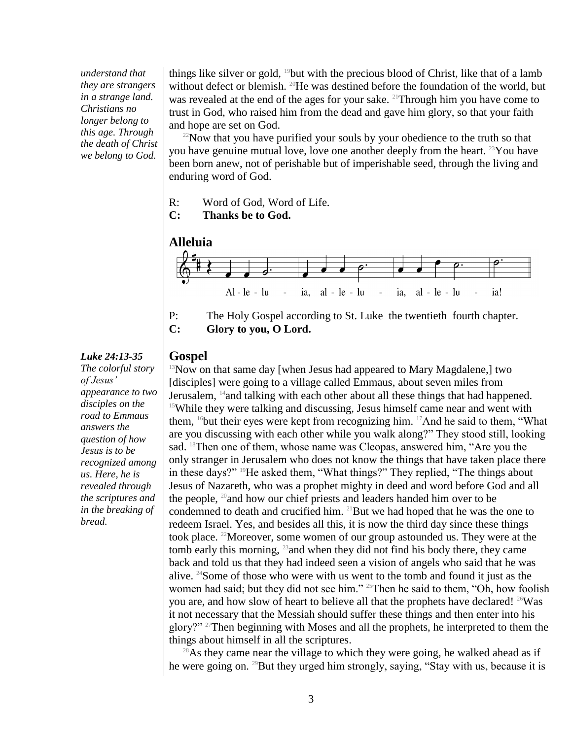*understand that they are strangers in a strange land. Christians no longer belong to this age. Through the death of Christ we belong to God.*

things like silver or gold, <sup>19</sup>but with the precious blood of Christ, like that of a lamb without defect or blemish. <sup>20</sup>He was destined before the foundation of the world, but was revealed at the end of the ages for your sake. <sup>21</sup>Through him you have come to trust in God, who raised him from the dead and gave him glory, so that your faith and hope are set on God.

 $22$ Now that you have purified your souls by your obedience to the truth so that you have genuine mutual love, love one another deeply from the heart. <sup>23</sup>You have been born anew, not of perishable but of imperishable seed, through the living and enduring word of God.

- R: Word of God, Word of Life.
- **C: Thanks be to God.**





#### **Gospel**

 $13$ Now on that same day [when Jesus had appeared to Mary Magdalene,] two [disciples] were going to a village called Emmaus, about seven miles from Jerusalem, <sup>14</sup> and talking with each other about all these things that had happened. <sup>15</sup>While they were talking and discussing, Jesus himself came near and went with them, <sup>16</sup>but their eyes were kept from recognizing him. <sup>17</sup>And he said to them, "What are you discussing with each other while you walk along?" They stood still, looking sad. <sup>18</sup>Then one of them, whose name was Cleopas, answered him, "Are you the only stranger in Jerusalem who does not know the things that have taken place there in these days?" <sup>19</sup>He asked them, "What things?" They replied, "The things about Jesus of Nazareth, who was a prophet mighty in deed and word before God and all the people, <sup>20</sup>and how our chief priests and leaders handed him over to be condemned to death and crucified him. <sup>21</sup>But we had hoped that he was the one to redeem Israel. Yes, and besides all this, it is now the third day since these things took place. <sup>22</sup>Moreover, some women of our group astounded us. They were at the tomb early this morning, <sup>23</sup> and when they did not find his body there, they came back and told us that they had indeed seen a vision of angels who said that he was alive. <sup>24</sup>Some of those who were with us went to the tomb and found it just as the women had said; but they did not see him."<sup>25</sup>Then he said to them, "Oh, how foolish you are, and how slow of heart to believe all that the prophets have declared! <sup>26</sup>Was it not necessary that the Messiah should suffer these things and then enter into his glory?" <sup>27</sup>Then beginning with Moses and all the prophets, he interpreted to them the things about himself in all the scriptures.

 $^{28}$ As they came near the village to which they were going, he walked ahead as if he were going on. <sup>29</sup>But they urged him strongly, saying, "Stay with us, because it is

#### *Luke 24:13-35*

*The colorful story of Jesus' appearance to two disciples on the road to Emmaus answers the question of how Jesus is to be recognized among us. Here, he is revealed through the scriptures and in the breaking of bread.*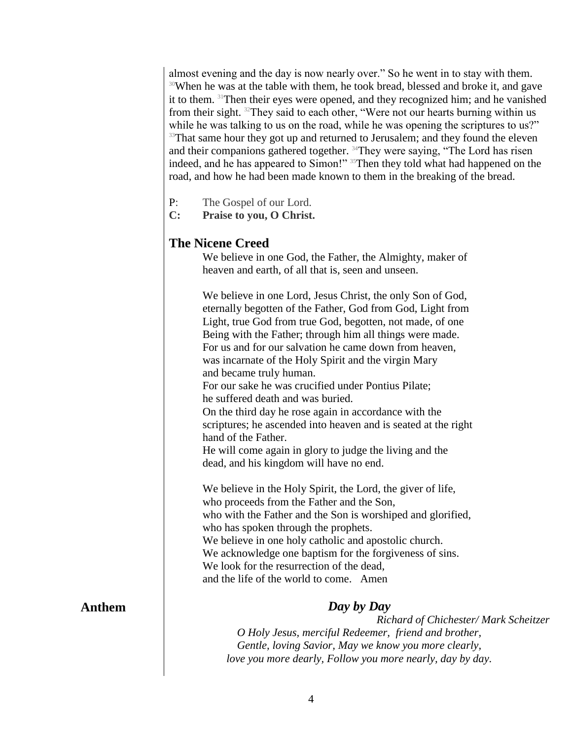almost evening and the day is now nearly over." So he went in to stay with them. <sup>30</sup>When he was at the table with them, he took bread, blessed and broke it, and gave it to them. <sup>31</sup>Then their eyes were opened, and they recognized him; and he vanished from their sight. <sup>32</sup>They said to each other, "Were not our hearts burning within us while he was talking to us on the road, while he was opening the scriptures to us?" <sup>33</sup>That same hour they got up and returned to Jerusalem; and they found the eleven and their companions gathered together. <sup>34</sup>They were saying, "The Lord has risen indeed, and he has appeared to Simon!" <sup>35</sup>Then they told what had happened on the road, and how he had been made known to them in the breaking of the bread.

- P: The Gospel of our Lord.
- **C: Praise to you, O Christ.**

#### **The Nicene Creed**

We believe in one God, the Father, the Almighty, maker of heaven and earth, of all that is, seen and unseen.

We believe in one Lord, Jesus Christ, the only Son of God, eternally begotten of the Father, God from God, Light from Light, true God from true God, begotten, not made, of one Being with the Father; through him all things were made. For us and for our salvation he came down from heaven, was incarnate of the Holy Spirit and the virgin Mary and became truly human.

For our sake he was crucified under Pontius Pilate; he suffered death and was buried.

On the third day he rose again in accordance with the scriptures; he ascended into heaven and is seated at the right hand of the Father.

He will come again in glory to judge the living and the dead, and his kingdom will have no end.

We believe in the Holy Spirit, the Lord, the giver of life, who proceeds from the Father and the Son, who with the Father and the Son is worshiped and glorified, who has spoken through the prophets. We believe in one holy catholic and apostolic church. We acknowledge one baptism for the forgiveness of sins. We look for the resurrection of the dead. and the life of the world to come. Amen

#### **Anthem**

#### *Day by Day*

*Richard of Chichester/ Mark Scheitzer O Holy Jesus, merciful Redeemer, friend and brother, Gentle, loving Savior, May we know you more clearly, love you more dearly, Follow you more nearly, day by day.*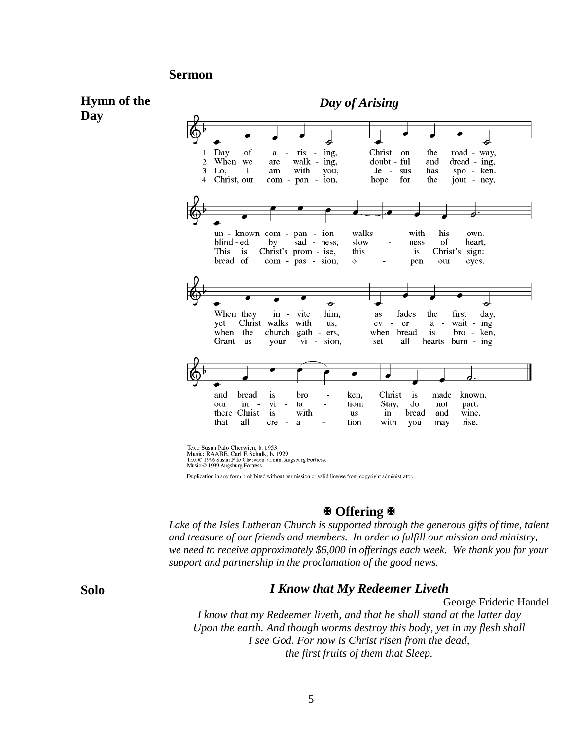**Sermon**

**Hymn of the Day**



#### **Offering**

*Lake of the Isles Lutheran Church is supported through the generous gifts of time, talent and treasure of our friends and members. In order to fulfill our mission and ministry, we need to receive approximately \$6,000 in offerings each week. We thank you for your support and partnership in the proclamation of the good news.*

#### *I Know that My Redeemer Liveth*

George Frideric Handel

*I know that my Redeemer liveth, and that he shall stand at the latter day Upon the earth. And though worms destroy this body, yet in my flesh shall I see God. For now is Christ risen from the dead, the first fruits of them that Sleep.*

**Solo**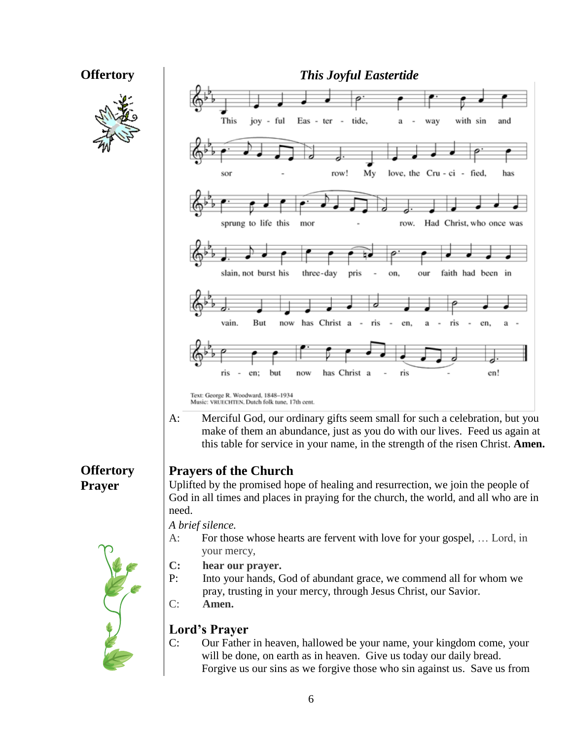# **Offertory**

| <b>Offertory</b>           | <b>This Joyful Eastertide</b>                                                                                                                                                                                                                                                                                                              |  |  |
|----------------------------|--------------------------------------------------------------------------------------------------------------------------------------------------------------------------------------------------------------------------------------------------------------------------------------------------------------------------------------------|--|--|
|                            | This<br>joy - ful<br>Eas - ter -<br>tide,<br>with sin<br>and<br>way<br>a                                                                                                                                                                                                                                                                   |  |  |
|                            | love, the Cru - ci - fied,<br>row!<br>My<br>has<br>sor                                                                                                                                                                                                                                                                                     |  |  |
|                            | sprung to life this<br>Had Christ, who once was<br>mor<br>row.                                                                                                                                                                                                                                                                             |  |  |
|                            | slain, not burst his<br>three-day<br>faith had been in<br>pris<br>our<br>on,                                                                                                                                                                                                                                                               |  |  |
|                            | has Christ a<br>vain.<br>But<br>$\sim$<br>ris<br>now<br>ris<br>$\blacksquare$<br>en.<br>en.<br>a<br>$\blacksquare$<br>а                                                                                                                                                                                                                    |  |  |
|                            | has Christ a<br>ris<br>en!<br>ris<br>but<br>en:<br>now<br>$\overline{\phantom{a}}$                                                                                                                                                                                                                                                         |  |  |
|                            | Text: George R. Woodward, 1848-1934<br>Music: VRUECHTEN, Dutch folk tune, 17th cent.<br>Merciful God, our ordinary gifts seem small for such a celebration, but you<br>A:<br>make of them an abundance, just as you do with our lives. Feed us again at<br>this table for service in your name, in the strength of the risen Christ. Amen. |  |  |
| <b>Offertory</b><br>Prayer | <b>Prayers of the Church</b><br>Uplifted by the promised hope of healing and resurrection, we join the people of<br>God in all times and places in praying for the church, the world, and all who are in<br>need.                                                                                                                          |  |  |
|                            | A brief silence.<br>For those whose hearts are fervent with love for your gospel,  Lord, in<br>$A$ :<br>your mercy,                                                                                                                                                                                                                        |  |  |
|                            | $\mathbf{C}$ :<br>hear our prayer.<br>P:<br>Into your hands, God of abundant grace, we commend all for whom we<br>pray, trusting in your mercy, through Jesus Christ, our Savior.<br>C:<br>Amen.                                                                                                                                           |  |  |
|                            | <b>Lord's Prayer</b><br>C:<br>Our Father in heaven, hallowed be your name, your kingdom come, your                                                                                                                                                                                                                                         |  |  |
|                            | will be done, on earth as in heaven. Give us today our daily bread.<br>Forgive us our sins as we forgive those who sin against us. Save us from                                                                                                                                                                                            |  |  |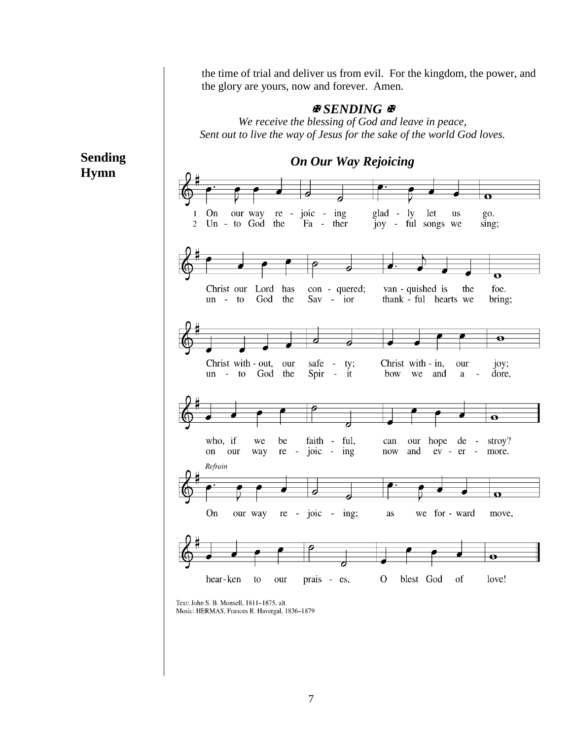*On Our Way Rejoicing* $\mathbf o$ glad - ly let us<br>joy - ful songs we On re - joic - $\mathbf{1}$ our way ing go. 2 Un - to God the Fa ther sing;  $\mathbf \sigma$ van - quished is foe. Christ our Lord has con - quered; the the  $Sav - i$ thank - ful hearts we  $un - to$ God bring;  $\overline{\mathbf{e}}$ Christ with - out, our safe  $\frac{1}{\pi}$ ty; Christ with - in, our joy; un - to God the Spir it bow we and dore,  $\mathbf{a}$  $\overline{a}$  $\overline{\mathbf{o}}$ who, if ful, our hope de stroy? we be faith can  $\mathbb{Z}$ on our way  $re$ joic ing now and  $ev - er$ more. Refrain On our way  $re$  - joic - ing;  $\rm as$ we for - ward move,  $\bullet$ hear-ken to prais - es,  $\mathbf{O}$ blest God of love! our

#### **Sending Hymn**

the time of trial and deliver us from evil. For the kingdom, the power, and the glory are yours, now and forever. Amen.

#### *SENDING*

*We receive the blessing of God and leave in peace, Sent out to live the way of Jesus for the sake of the world God loves.*

Text: John S. B. Monsell, 1811-1875, alt. Music: HERMAS, Frances R. Havergal, 1836-1879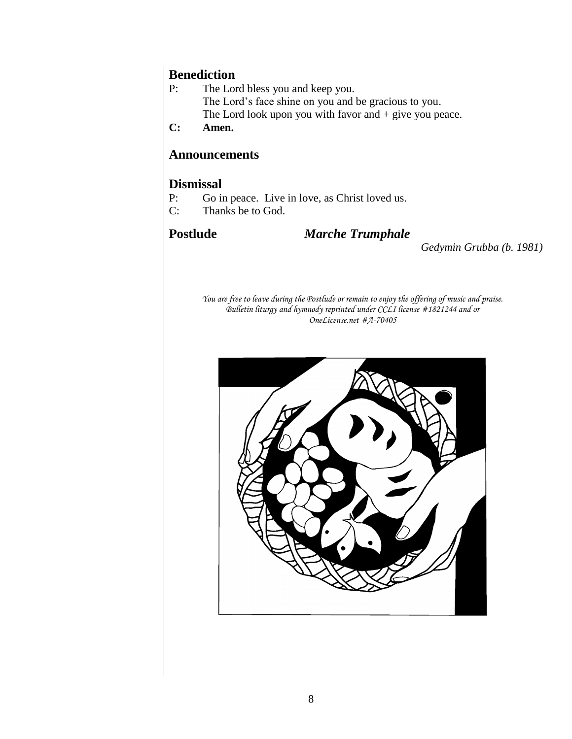# **Benediction**<br>P: The Lor

The Lord bless you and keep you. The Lord's face shine on you and be gracious to you. The Lord look upon you with favor and + give you peace.

**C: Amen.** 

#### **Announcements**

#### **Dismissal**

- P: Go in peace. Live in love, as Christ loved us.
- C: Thanks be to God.

#### **Postlude** *Marche Trumphale*

*Gedymin Grubba (b. 1981)*

*You are free to leave during the Postlude or remain to enjoy the offering of music and praise. Bulletin liturgy and hymnody reprinted under CCLI license #1821244 and or OneLicense.net #A-70405*

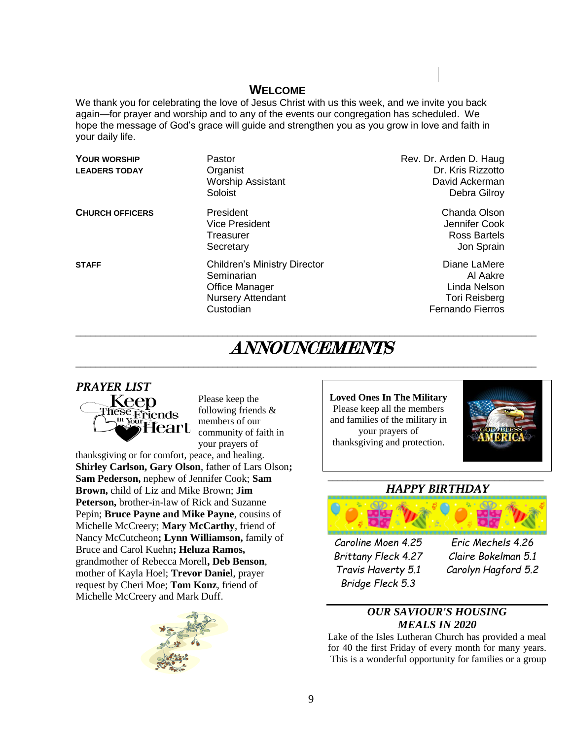#### **WELCOME**

We thank you for celebrating the love of Jesus Christ with us this week, and we invite you back again—for prayer and worship and to any of the events our congregation has scheduled. We hope the message of God's grace will guide and strengthen you as you grow in love and faith in your daily life.

| YOUR WORSHIP<br><b>LEADERS TODAY</b> | Pastor<br>Organist<br><b>Worship Assistant</b><br>Soloist                                                           | Rev. Dr. Arden D. Haug<br>Dr. Kris Rizzotto<br>David Ackerman<br>Debra Gilroy               |
|--------------------------------------|---------------------------------------------------------------------------------------------------------------------|---------------------------------------------------------------------------------------------|
| <b>CHURCH OFFICERS</b>               | President<br><b>Vice President</b><br>Treasurer<br>Secretary                                                        | Chanda Olson<br>Jennifer Cook<br>Ross Bartels<br>Jon Sprain                                 |
| <b>STAFF</b>                         | <b>Children's Ministry Director</b><br>Seminarian<br><b>Office Manager</b><br><b>Nursery Attendant</b><br>Custodian | Diane LaMere<br>Al Aakre<br>Linda Nelson<br><b>Tori Reisberg</b><br><b>Fernando Fierros</b> |

# ANNOUNCEMENTS

 $\overline{\phantom{a}}$  , and the contribution of the contribution of the contribution of the contribution of the contribution of the contribution of the contribution of the contribution of the contribution of the contribution of the

 $\overline{\phantom{a}}$  , and the contribution of the contribution of the contribution of the contribution of the contribution of the contribution of the contribution of the contribution of the contribution of the contribution of the



Please keep the following friends & members of our community of faith in your prayers of

thanksgiving or for comfort, peace, and healing. **Shirley Carlson, Gary Olson**, father of Lars Olson**; Sam Pederson,** nephew of Jennifer Cook; **Sam Brown,** child of Liz and Mike Brown; **Jim Peterson,** brother-in-law of Rick and Suzanne Pepin; **Bruce Payne and Mike Payne**, cousins of Michelle McCreery; **Mary McCarthy**, friend of Nancy McCutcheon**; Lynn Williamson,** family of Bruce and Carol Kuehn**; Heluza Ramos,**  grandmother of Rebecca Morell**, Deb Benson**, mother of Kayla Hoel; **Trevor Daniel**, prayer request by Cheri Moe; **Tom Konz**, friend of Michelle McCreery and Mark Duff.



**Loved Ones In The Military** Please keep all the members and families of the military in your prayers of thanksgiving and protection.



#### **\_\_\_\_\_\_\_\_\_\_\_\_\_\_\_\_\_\_\_\_\_\_\_\_\_\_\_\_\_\_\_\_\_\_\_\_\_\_\_\_\_\_\_\_** *HAPPY BIRTHDAY*



*Caroline Moen 4.25 Eric Mechels 4.26 Bridge Fleck 5.3*

*Brittany Fleck 4.27 Claire Bokelman 5.1 Travis Haverty 5.1 Carolyn Hagford 5.2*

#### *OUR SAVIOUR'S HOUSING MEALS IN 2020*

Lake of the Isles Lutheran Church has provided a meal for 40 the first Friday of every month for many years. This is a wonderful opportunity for families or a group